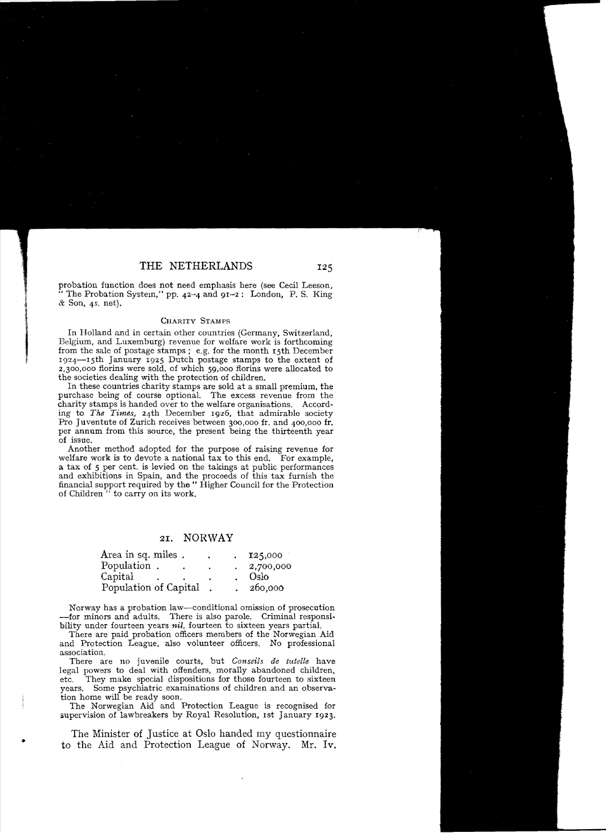## *ZI.* NORWAY

| Area in sq. miles.    | ٠ | 125,000   |
|-----------------------|---|-----------|
| Population.           |   | 2,700,000 |
| Capital               |   | Oslo      |
| Population of Capital |   | 260,000   |

Norway has a probation law-conditional omission of prosecution -for minors and adults. There is also parole. Criminal responsibility under fourteen years  $nil$ , fourteen to sixteen years partial.

There are paid probation officers members of the Norwegian Aid and Protection League. also volunteer officers. No professional association.

There are no juvenile courts, but *Conseils de ttdelle* have legal powers to deal with offenders, morally abandoned children. etc. They make special dispositions for those fourteen to sixteen years. Some psychiatrie examinations of children and an observation home will be ready soon.

The Norwegian Aid and Protection League is recognised for supervision of lawbreakers by Royal Resolution, Ist January 1923.

The Minister of Justice at Oslo handed my questionnaire to the Aid and Protection League of Norway. Mr. Iv.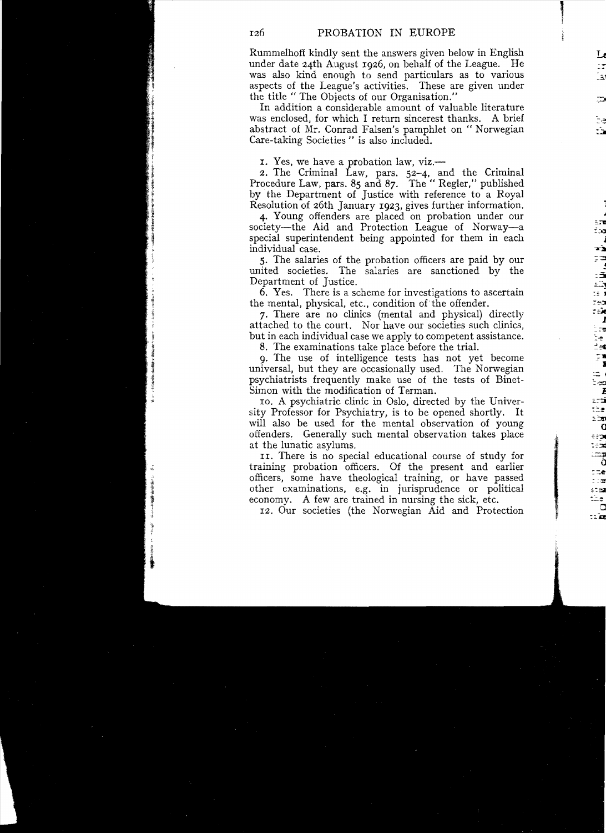$\mathbb{F}$ 

Rummelhoff kindly sent the answers given below in English under date 24th August I926, on behalf of the League. He was also kind enough to send particulars as to various aspects of the League's activities. These are given under the title " The Objects of our Organisation."

In addition a eonsiderable amount of valuable literature was enclosed, for which I return sincerest thanks. A brief abstract of Mr. Conrad Falsen's pamphlet on " Norwegian Care-taking Societies " is also included.

1. Yes, we have a probation law, viz.

2. The Criminal Law, pars. 52-4, and the Criminal Procedure Law, pars. 85 and 87. The "Regler," published by the Department of Justice with reference to a Royal Resolution of 26th January 1923, gives further information.

4. Young offenders are placed on probation under our society—the Aid and Protection League of Norway—a special superintendent being appointed for them **in** each individual case.

S. The salaries of the probation officers are paid by our united societies. The salaries are sanctioned by the Department of Justice.

6. Yes. There is a scheme for investigations to ascertain the mental, physical, etc., condition of the offender.

7. There are no clinics (mental and physical) directly attached to the court. Nor have our societies such clinics, but in each individual case we apply to competent assistance.

8. The examinations take place before the trial.

9. The use of intelligence tests has not yet become universal, but they are occasionally used. The Norwegian psychiatrists frequently make use of the tests of Binet-Simon with the modification of Terman.

10. A psychiatrie clinic in Oslo, direeted by the University Professor for Psychiatry, is to be opened shortly. It will also be used for the mental observation of young offenders~ Generally such mental observation takes place at the lunatie asylums.

II. There is no special educational course of study for training probation officers. Of the present and earlier officers, some have theological training, or have passed other examinations, e.g. in jurisprudence or politica! economy. A few are trained in nursing the sick, etc.

I2. Our societies (the Norwegian Aid and Protection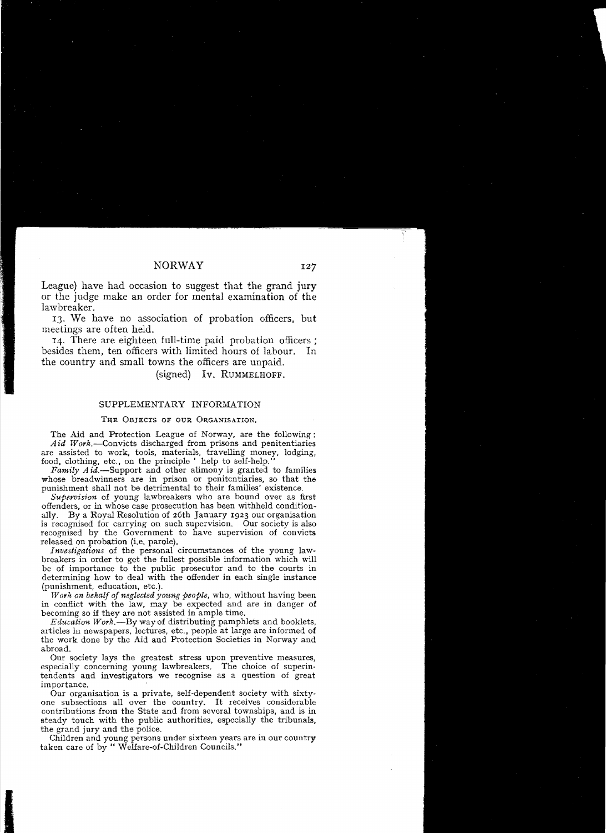League) have had occasion to suggest that the grand jury or the judge make an order for mental examination of the lawbreaker.

13. We have no association of probation officers, but meetings are often held.

I4. There are eighteen fuIl-time paid probation officers; besides them, ten officers with limited hours of labour. In the country and small towns the officers are unpaid.

(signed) Iv. RUMMELHOFF.

## SUPPLEMENTARY INFORMATION

## THE OBJECTS OF OUR ORGANISATION.

The Aid and Protection League of Norway, are the following:  $Aid$  Work.-Convicts discharged from prisons and penitentiaries are assisted to work, toois, materiais, travelling money, lodging, food, clothing, etc., on the principle ' help to self-help.

Family Aid.-Support and other alimony is granted to families whose breadwinners are in prison or penitentiaries, so that the punishment shall not be detrimental to their families' existence.

*Supervision* of young lawbreakers who are bound over as first offenders, or in whose case prosecution has been withheld condition-By a Royal Resolution of 26th January 1923 our organisation is recognised for carrying on such supervision. Our society is also recognised by the Government to have supervision of convicts released on probation (i.e. parole).

*Investigations* of the personal circumstances of the young lawbreakers in order to get the fullest possible information which will be of importance to the public prosecutor and to the courts in determining how to deal with the offender in each single instance (punishment, education, etc.).

*Work on behalf of neglected young peoPle,* who, without having been in conflict with the law, may be expected and are in danger of becoming so if they are not assisted in ample time.

*Education Work.-By* wayof distributing pamphlets and booklets. articles in newspapers, lectures, etc., people at large are informed of the work done by the Aid and Protection Societies in Norway and abroad.

Our society lays the greatest stress upon preventive measures, especially concerning young lawbreakers. The choice of superin. tendents and investigators we recognise as a question of great importance.

Our organisation is a private, self-dependent society with sixtyone subsections all over the country. It receives considerabie contributions from the State and from several townships, and is in steady touch with the public authorities, especially the tribunals, the grand jury and the police.

Children and young persons under sixteen years are in our country taken care of by " Welfare-of-Children Councils."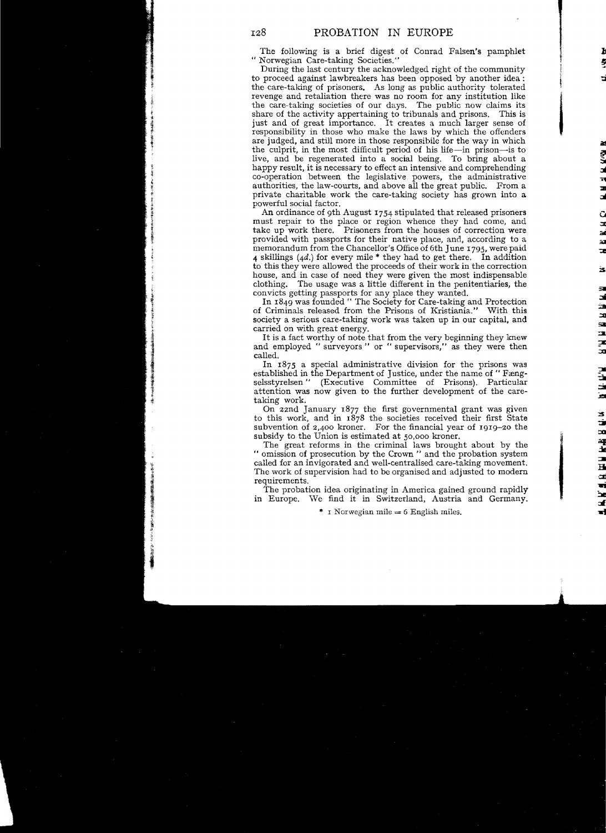The following is a brief digest of Conrad Falsen's pamphlet "Norwegian Care-taking Societies."

During the last century the acknowledged right of the community to proceed against lawbreakers has been opposed by another idea: the care-taking of prisoners. As long as public authority tolerated revenge and retaliation there was no room for any institution like the care-taking societies of our days. The public now claims its share of the activity appertaining to tribunals and prisons. This is just and of great importance. It creates a much larger sense of responsibility in those who make the laws by which the offenders are judged, and still more in those responsibile for the way in which the culprit, in the most difficult period of his life-in prison-is to live, and be regenerated into a social being. To bring about a live, and be regenerated into a social being. happy result, it is necessary to effect an intensive and comprehending co-operation between the legislative powers, the administrative authorities, the law-courts, and above all the great public. From a private charitable work the care-taking society has grown into a powerful soeial factor.

je poznatelje poznatelje poznatelje poznatelje poznatelje poznatelje poznatelje poznatelje poznatelje poznatel<br>Delivanje

An ordinance of 9th August 1754 stipulated that released prisoners must repair to the place or region whence they had come, and take up work there. Prisoners from the houses of correction were provided with passports for therr native place, and, according to a memorandum from the Chancellor's Office of 6th June 1795, were paid 4 skillings (4d.) for every mile  $*$  they had to get there. In addition to this they were allowed the proceeds of their work in the correction house, and in case of need they were given the most indispensable clothing. The usage was a little different in the penitentiaries, the convicts getting passports for any place they wanted.

In 1849 was founded " The Society for Care-taking and Protection of Criminals released from the Prisons of Kristiania." \Vith this society a serious care-taking work was taken up in our capital, and carried on with great energy.

It is a fact worthy of note that from the very beginning they knew and employed " surveyors " or " supervisors," as they were then called.

In 1875 a special administrative division for the prisons was established in the Department of Justice, under the name of "Fængselsstyrelsen" (Executive Committee of Prisons). Particular attention was now given to the further development of the care-<br>taking work.

On zznd January 1877 the first governmental grant was given to this work, and in 1878 the societies received their first State subvention of  $2,400$  kroner. For the financial year of 1919-20 the subsidy to the Union is estimated at 50,000 kroner.

The great reforms in the criminal laws brought about by the " omission of prosecution by the Crown " and the probation system called for an invigorated and wcll-centralised care-taking movement. Tbe work of supervision had to be organised and adjusted to modern requirements.

Tbe probation idea originating in America gained ground rapidly in Europe. \Ve find it in Switzerland, Austria and Germany.

 $*$  r Norwegian mile  $= 6$  English miles.

128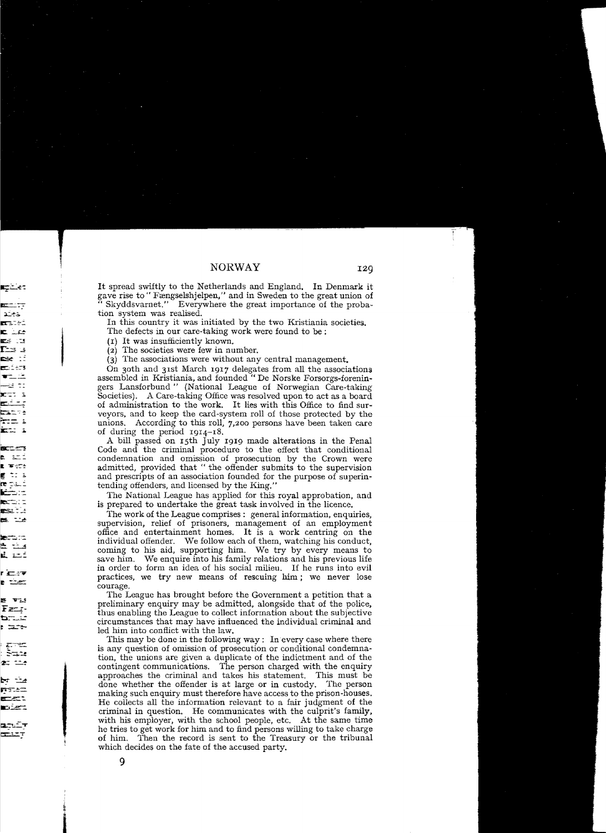It spread swiftly to the Netherlands and England. In Denmark it gave rise to "Fængselshjelpen," and in Sweden to the great union of Skyddsvarnet." Everywhere the great importance of the probation system was realised.

In tbis country it was initiated by the two Kristiania societies.

The defects in our care-taking work were found to be ;

(1) It was insufficiently known.

(2) The societies were few in number.

 $(3)$  The associations were without any central management.

On 30th and 31st March 1917 delegates from all the associations assembied in Kristiania, and founded " De Norske Forsorgs-foreningers Lansforbund" (National League of Norwegian Care-taking Societies). A Care-taking Office was resolved upon to act as a board of administration to the work. It lies with this Office to find surveyors, and to keep the card-system roll of those protected by the unions. According to this roll,  $7,200$  persons have been taken care of during the period  $1914-18$ .

A bill passed on 15th July 1919 made alterations in the Penal Code and the criminal procedure to the effect that conditional condemnation and omission of prosecution by the Crown were admitted, provided that " the offender submits to the supervision and prescripts of an association founded for the purpose of superintending offenders, and licensed by the King."

The National League has applied for this royal approbation, and is prepared to undertake the great task involved in the licence.

The work of the League comprises: general information, enquiries, supervision, relief of prisoners, management of an employment office and entertainment homes. It is a work centring on the individual offender. We follow each of them, watching his conduct, coming to his aid, supporting him. We try by every means to save him. We enquire into his family relations and his previous life in order to form an idea of his sodal milieu. If he runs into evil practices, we try new means of rescuing him; we never lose courage.

The League has brought before the Government a petition that a preliminary enquiry may be admitied, alongside that of the police, thus enabling the League to collect information about the subjective circumstances that may have influenced the individual criminal and led him into conflict with the law.

This may be done in the following way: In every case where there is any question of omission of prosecution or conditional condemnation, the unions are given a duplicate of the indictment and of the contingent communications. The person charged with the enquiry approaches the criminal and takes bis statement. This must be done whether the offender is at large or in custody. The person making such enquiry must therefore have access to the prison-houses. He collects all the information relevant to a fair judgment of the criminal in question. He communicates with the culprit's family, with his employer, with the school people, etc. At the same time he tries to get work for him and to find persons willing to take charge of him. Then the record is sent to the Treasury or the tribunal which decides on the fate of the accused party.

9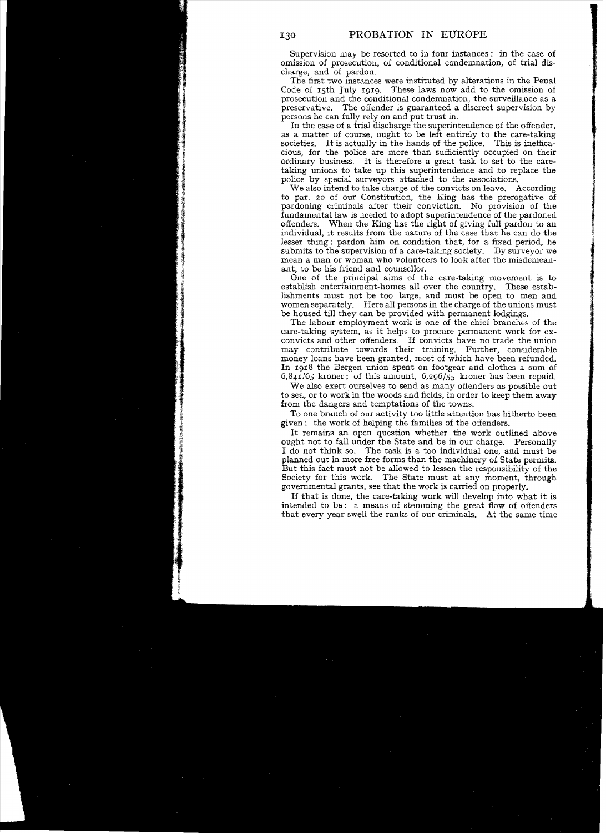Supervision may be resorted to in four instances : in the case of omission of prosecution, of conditional condemnation, of trial discharge, and of pardon.

The first two instances were instituted by alterations in the Penal Code of 15th July 1919. These laws now add to the omission of prosecution and the conditional condemnation, the surveillance as a The offender is guaranteed a discreet supervision by persons he can fully rely on and put trust in.

In the case of a trial discharge the superintendence of the offender, as a matter of course, ought to be left entirely to the care-taking societies. It is actually in the hands of the police. This is inefficacious, for the police are more than sufficiently occupied on their ordinary business. It is therefore a great task to set to the caretaking unions to take up this superintendence and to replace the police by special surveyors attached to the associations.

We also intend to take charge of the convicts on leave. According to par. 20 of our Constitution, the King has the prerogative of pardoning criminals after their conviction. No provision of the fundamental law is needed to adopt superintendence of the pardoned offenders. When the King has the right of giving full pardon to an individual, it results from the nature of the case that he can do the lesser thing: pardon him on condition that, for a fixed period, he submits to the supervision of a care-taking society. By surveyor we mean a man or woman who volunteers to look after the misdemeanant, to be his friend and counsellor.

One of the principal aims of the care-taking movement is to establish entertainment-homes all over the country. These establishments must not be too large, and must be open to men and women separately. Here all persons in the charge of the unions must be housed till they can be provided with permanent lodgings.

The labour employment work is one of the chief branches of the care-taking system, as it helps to procure permanent work for exconvicts and other offenders. If convicts have no trade the union may contribute towards their training. Further, considerable money loans have been granted, most of which have been refunded. In 1918 the Bergen union spent on footgear and clothes a sum of *6,841/65* kroner; of this amount, 6,296/55 kroner has been repaid.

We also exert ourselves to send as many offenders as possible out to sea, or to work in the woods and fields, in order to keep them away from the dangers and temptations of the towns.

To one branch of our activity too little attention has hitherto been given: the work of helping the families of the offenders.

It remains an open question whether the work outlined above ought not to fall under the State and be in our charge. Personally I do not think so. The task is a too individual one, and must be planned out in more free forms than the machinery of State permits. But this fact must not be allowed to lessen the responsibility of the Society for this work. The State must at any moment, through governmental grants, see that the work is carried on properly.

If that is done, the care-taking work will develop into what it is intended to be: a means of stemming the great flow of offenders that every year swell the ranks of our criminals. At the same time